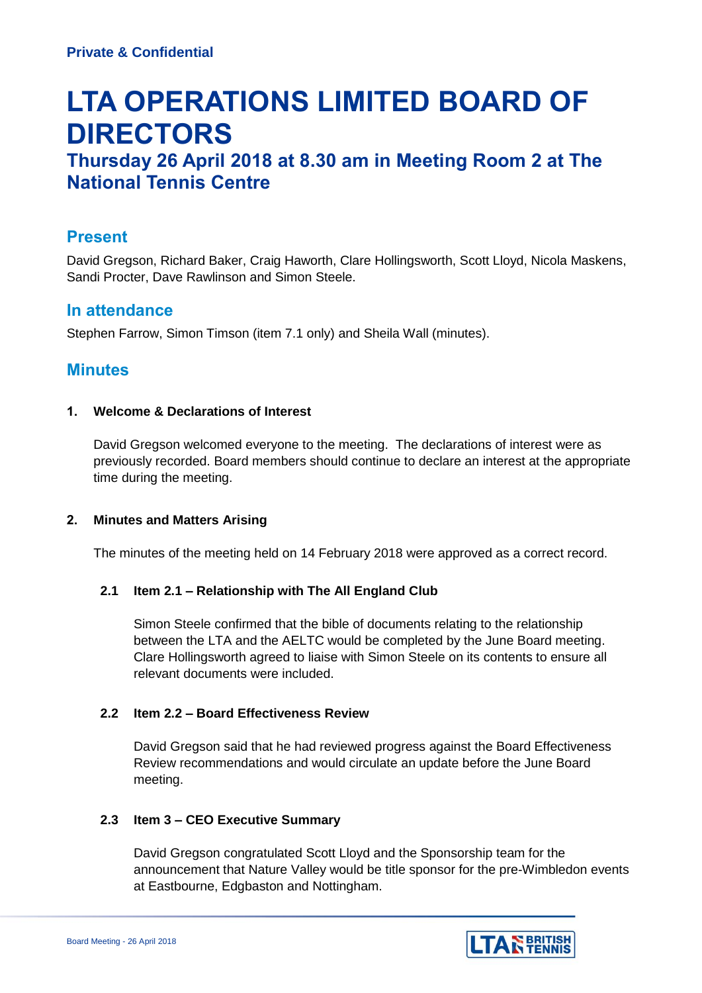# **LTA OPERATIONS LIMITED BOARD OF DIRECTORS**

# **Thursday 26 April 2018 at 8.30 am in Meeting Room 2 at The National Tennis Centre**

# **Present**

David Gregson, Richard Baker, Craig Haworth, Clare Hollingsworth, Scott Lloyd, Nicola Maskens, Sandi Procter, Dave Rawlinson and Simon Steele.

# **In attendance**

Stephen Farrow, Simon Timson (item 7.1 only) and Sheila Wall (minutes).

# **Minutes**

# **1. Welcome & Declarations of Interest**

David Gregson welcomed everyone to the meeting. The declarations of interest were as previously recorded. Board members should continue to declare an interest at the appropriate time during the meeting.

# **2. Minutes and Matters Arising**

The minutes of the meeting held on 14 February 2018 were approved as a correct record.

# **2.1 Item 2.1 – Relationship with The All England Club**

Simon Steele confirmed that the bible of documents relating to the relationship between the LTA and the AELTC would be completed by the June Board meeting. Clare Hollingsworth agreed to liaise with Simon Steele on its contents to ensure all relevant documents were included.

# **2.2 Item 2.2 – Board Effectiveness Review**

David Gregson said that he had reviewed progress against the Board Effectiveness Review recommendations and would circulate an update before the June Board meeting.

# **2.3 Item 3 – CEO Executive Summary**

David Gregson congratulated Scott Lloyd and the Sponsorship team for the announcement that Nature Valley would be title sponsor for the pre-Wimbledon events at Eastbourne, Edgbaston and Nottingham.

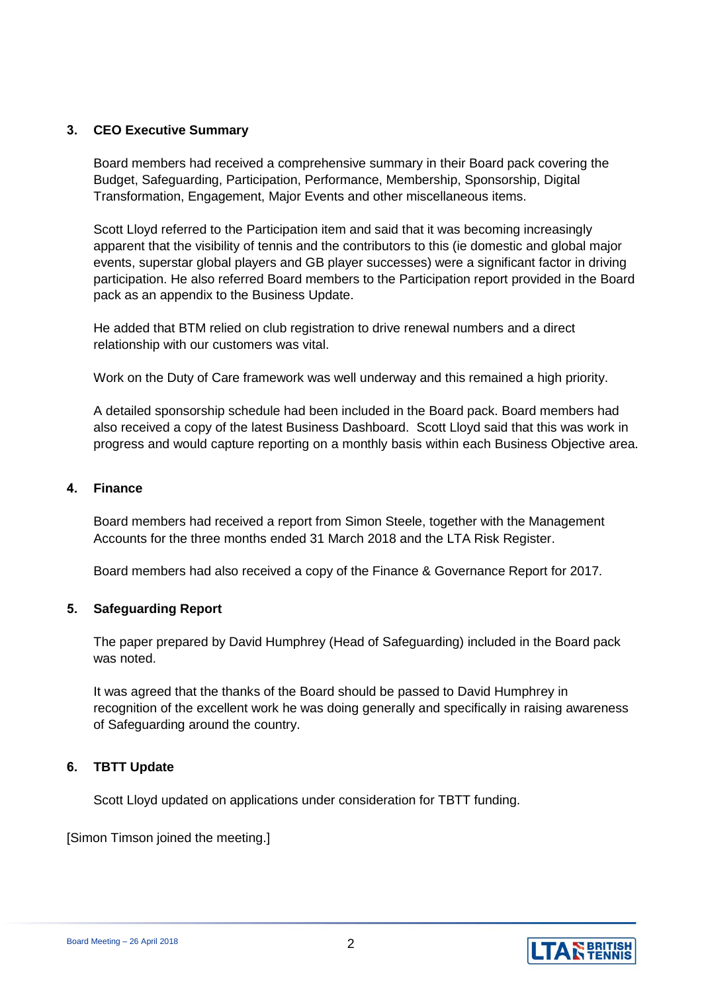#### **3. CEO Executive Summary**

Board members had received a comprehensive summary in their Board pack covering the Budget, Safeguarding, Participation, Performance, Membership, Sponsorship, Digital Transformation, Engagement, Major Events and other miscellaneous items.

Scott Lloyd referred to the Participation item and said that it was becoming increasingly apparent that the visibility of tennis and the contributors to this (ie domestic and global major events, superstar global players and GB player successes) were a significant factor in driving participation. He also referred Board members to the Participation report provided in the Board pack as an appendix to the Business Update.

He added that BTM relied on club registration to drive renewal numbers and a direct relationship with our customers was vital.

Work on the Duty of Care framework was well underway and this remained a high priority.

A detailed sponsorship schedule had been included in the Board pack. Board members had also received a copy of the latest Business Dashboard. Scott Lloyd said that this was work in progress and would capture reporting on a monthly basis within each Business Objective area.

#### **4. Finance**

Board members had received a report from Simon Steele, together with the Management Accounts for the three months ended 31 March 2018 and the LTA Risk Register.

Board members had also received a copy of the Finance & Governance Report for 2017.

#### **5. Safeguarding Report**

The paper prepared by David Humphrey (Head of Safeguarding) included in the Board pack was noted.

It was agreed that the thanks of the Board should be passed to David Humphrey in recognition of the excellent work he was doing generally and specifically in raising awareness of Safeguarding around the country.

#### **6. TBTT Update**

Scott Lloyd updated on applications under consideration for TBTT funding.

[Simon Timson joined the meeting.]

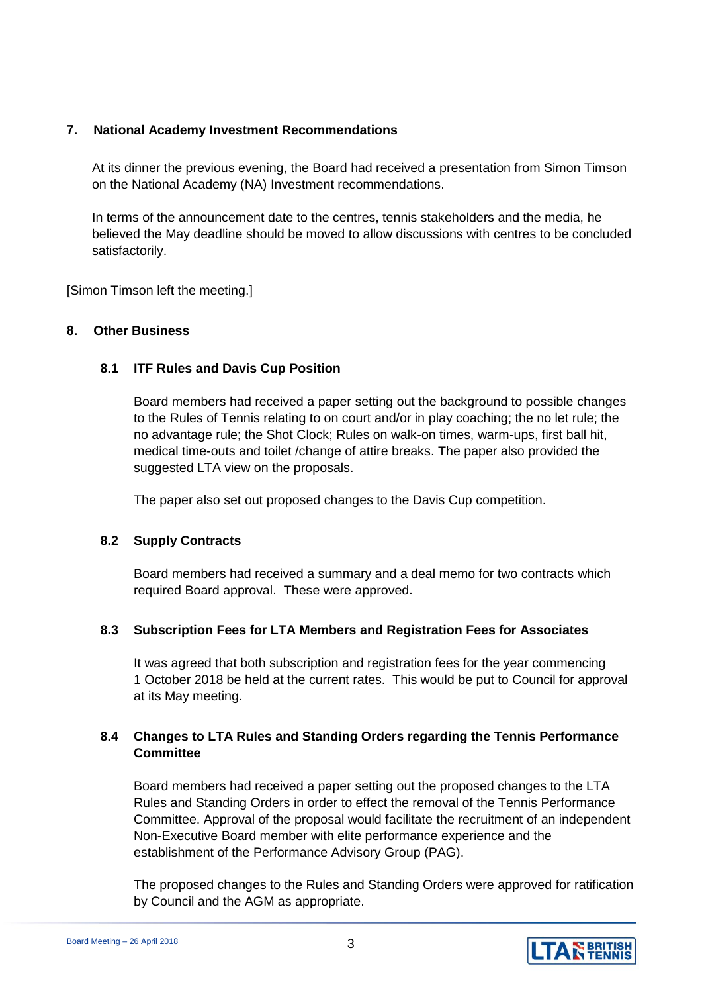## **7. National Academy Investment Recommendations**

At its dinner the previous evening, the Board had received a presentation from Simon Timson on the National Academy (NA) Investment recommendations.

In terms of the announcement date to the centres, tennis stakeholders and the media, he believed the May deadline should be moved to allow discussions with centres to be concluded satisfactorily.

[Simon Timson left the meeting.]

#### **8. Other Business**

#### **8.1 ITF Rules and Davis Cup Position**

Board members had received a paper setting out the background to possible changes to the Rules of Tennis relating to on court and/or in play coaching; the no let rule; the no advantage rule; the Shot Clock; Rules on walk-on times, warm-ups, first ball hit, medical time-outs and toilet /change of attire breaks. The paper also provided the suggested LTA view on the proposals.

The paper also set out proposed changes to the Davis Cup competition.

#### **8.2 Supply Contracts**

Board members had received a summary and a deal memo for two contracts which required Board approval. These were approved.

# **8.3 Subscription Fees for LTA Members and Registration Fees for Associates**

It was agreed that both subscription and registration fees for the year commencing 1 October 2018 be held at the current rates. This would be put to Council for approval at its May meeting.

# **8.4 Changes to LTA Rules and Standing Orders regarding the Tennis Performance Committee**

Board members had received a paper setting out the proposed changes to the LTA Rules and Standing Orders in order to effect the removal of the Tennis Performance Committee. Approval of the proposal would facilitate the recruitment of an independent Non-Executive Board member with elite performance experience and the establishment of the Performance Advisory Group (PAG).

The proposed changes to the Rules and Standing Orders were approved for ratification by Council and the AGM as appropriate.

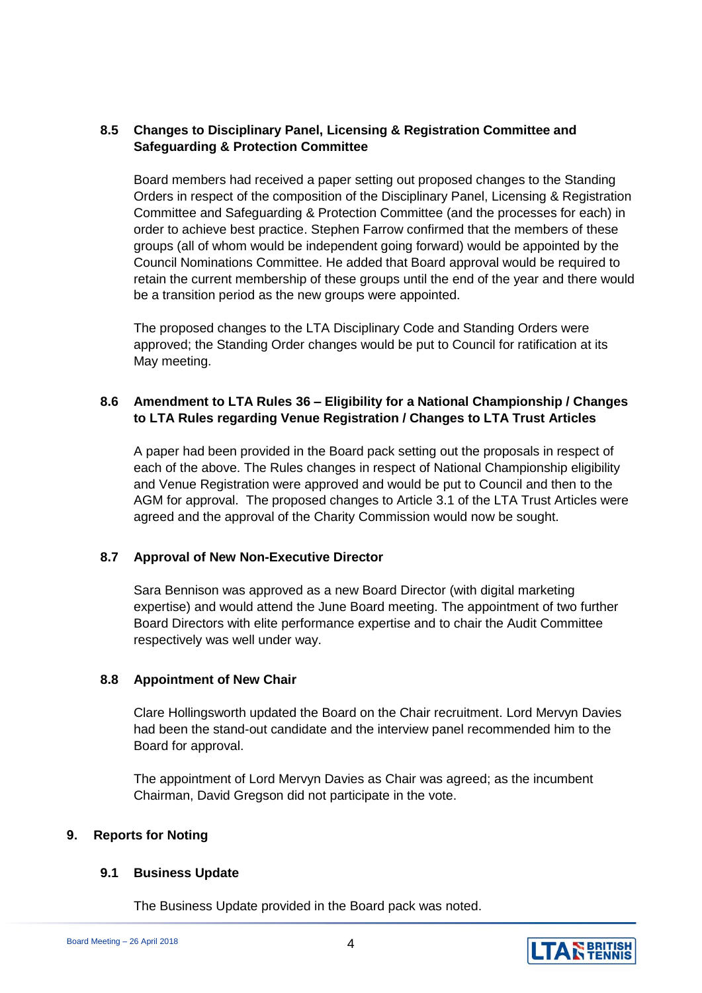# **8.5 Changes to Disciplinary Panel, Licensing & Registration Committee and Safeguarding & Protection Committee**

Board members had received a paper setting out proposed changes to the Standing Orders in respect of the composition of the Disciplinary Panel, Licensing & Registration Committee and Safeguarding & Protection Committee (and the processes for each) in order to achieve best practice. Stephen Farrow confirmed that the members of these groups (all of whom would be independent going forward) would be appointed by the Council Nominations Committee. He added that Board approval would be required to retain the current membership of these groups until the end of the year and there would be a transition period as the new groups were appointed.

The proposed changes to the LTA Disciplinary Code and Standing Orders were approved; the Standing Order changes would be put to Council for ratification at its May meeting.

## **8.6 Amendment to LTA Rules 36 – Eligibility for a National Championship / Changes to LTA Rules regarding Venue Registration / Changes to LTA Trust Articles**

A paper had been provided in the Board pack setting out the proposals in respect of each of the above. The Rules changes in respect of National Championship eligibility and Venue Registration were approved and would be put to Council and then to the AGM for approval. The proposed changes to Article 3.1 of the LTA Trust Articles were agreed and the approval of the Charity Commission would now be sought.

# **8.7 Approval of New Non-Executive Director**

Sara Bennison was approved as a new Board Director (with digital marketing expertise) and would attend the June Board meeting. The appointment of two further Board Directors with elite performance expertise and to chair the Audit Committee respectively was well under way.

#### **8.8 Appointment of New Chair**

Clare Hollingsworth updated the Board on the Chair recruitment. Lord Mervyn Davies had been the stand-out candidate and the interview panel recommended him to the Board for approval.

The appointment of Lord Mervyn Davies as Chair was agreed; as the incumbent Chairman, David Gregson did not participate in the vote.

#### **9. Reports for Noting**

#### **9.1 Business Update**

The Business Update provided in the Board pack was noted.

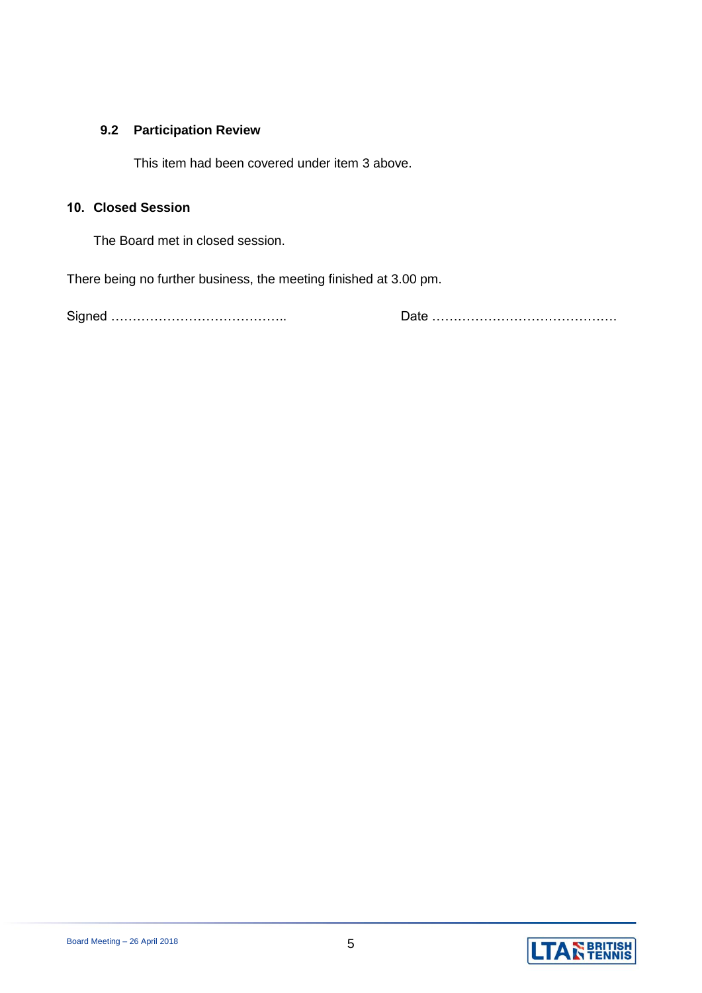# **9.2 Participation Review**

This item had been covered under item 3 above.

# **10. Closed Session**

The Board met in closed session.

There being no further business, the meeting finished at 3.00 pm.

Signed ………………………………….. Date …………………………………….

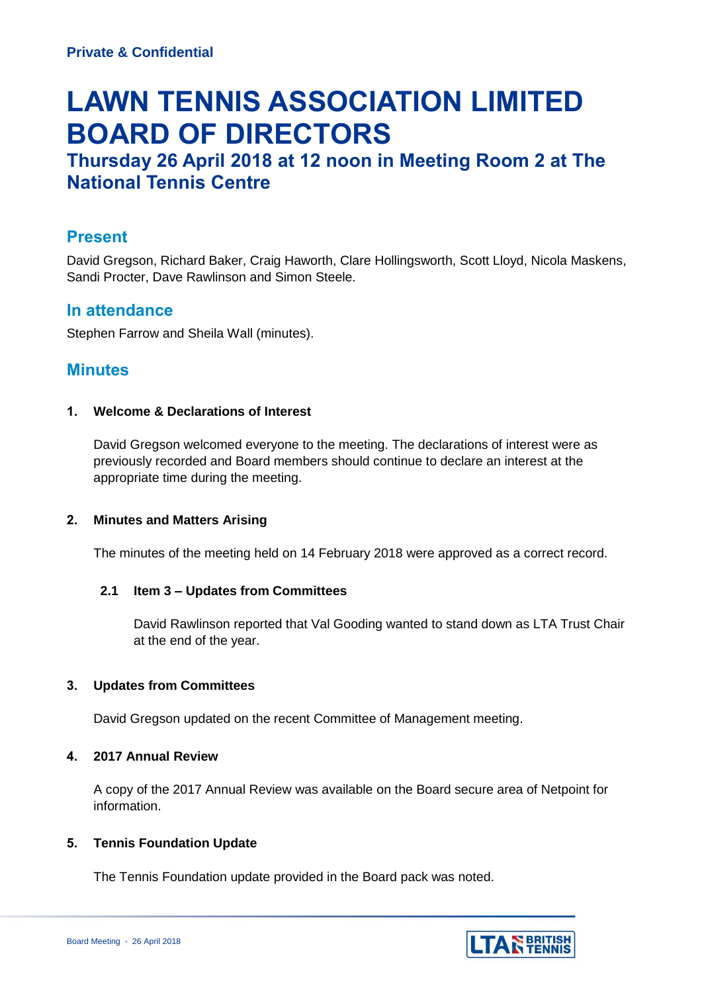# **LAWN TENNIS ASSOCIATION LIMITED BOARD OF DIRECTORS**

# **Thursday 26 April 2018 at 12 noon in Meeting Room 2 at The National Tennis Centre**

# **Present**

David Gregson, Richard Baker, Craig Haworth, Clare Hollingsworth, Scott Lloyd, Nicola Maskens, Sandi Procter, Dave Rawlinson and Simon Steele.

# **In attendance**

Stephen Farrow and Sheila Wall (minutes).

# **Minutes**

# **1. Welcome & Declarations of Interest**

David Gregson welcomed everyone to the meeting. The declarations of interest were as previously recorded and Board members should continue to declare an interest at the appropriate time during the meeting.

# **2. Minutes and Matters Arising**

The minutes of the meeting held on 14 February 2018 were approved as a correct record.

# **2.1 Item 3 – Updates from Committees**

David Rawlinson reported that Val Gooding wanted to stand down as LTA Trust Chair at the end of the year.

#### **3. Updates from Committees**

David Gregson updated on the recent Committee of Management meeting.

# **4. 2017 Annual Review**

A copy of the 2017 Annual Review was available on the Board secure area of Netpoint for information.

# **5. Tennis Foundation Update**

The Tennis Foundation update provided in the Board pack was noted.